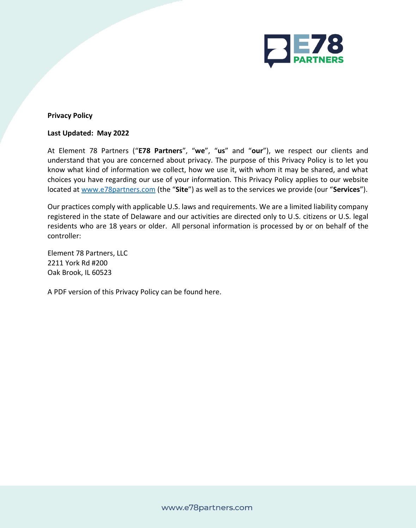

## **Privacy Policy**

#### **Last Updated: May 2022**

At Element 78 Partners ("**E78 Partners**", "**we**", "**us**" and "**our**"), we respect our clients and understand that you are concerned about privacy. The purpose of this Privacy Policy is to let you know what kind of information we collect, how we use it, with whom it may be shared, and what choices you have regarding our use of your information. This Privacy Policy applies to our website located at [www.e78partners.com](http://www.e78partners.com/) (the "**Site**") as well as to the services we provide (our "**Services**").

Our practices comply with applicable U.S. laws and requirements. We are a limited liability company registered in the state of Delaware and our activities are directed only to U.S. citizens or U.S. legal residents who are 18 years or older. All personal information is processed by or on behalf of the controller:

Element 78 Partners, LLC 2211 York Rd #200 Oak Brook, IL 60523

A PDF version of this Privacy Policy can be found here.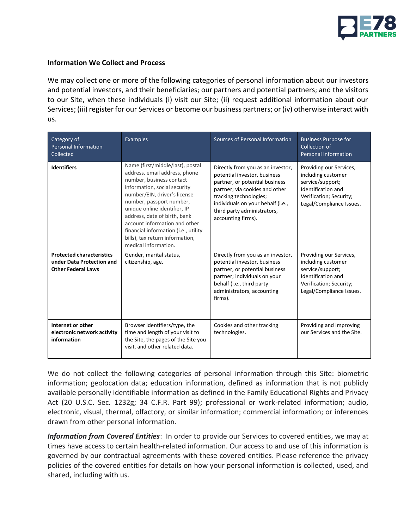

### **Information We Collect and Process**

We may collect one or more of the following categories of personal information about our investors and potential investors, and their beneficiaries; our partners and potential partners; and the visitors to our Site, when these individuals (i) visit our Site; (ii) request additional information about our Services; (iii) register for our Services or become our business partners; or (iv) otherwise interact with us.

| Category of<br><b>Personal Information</b><br>Collected                                    | <b>Examples</b>                                                                                                                                                                                                                                                                                                                                                                               | Sources of Personal Information                                                                                                                                                                                                                           | <b>Business Purpose for</b><br>Collection of<br><b>Personal Information</b>                                                                           |
|--------------------------------------------------------------------------------------------|-----------------------------------------------------------------------------------------------------------------------------------------------------------------------------------------------------------------------------------------------------------------------------------------------------------------------------------------------------------------------------------------------|-----------------------------------------------------------------------------------------------------------------------------------------------------------------------------------------------------------------------------------------------------------|-------------------------------------------------------------------------------------------------------------------------------------------------------|
| <b>Identifiers</b>                                                                         | Name (first/middle/last), postal<br>address, email address, phone<br>number, business contact<br>information, social security<br>number/EIN, driver's license<br>number, passport number,<br>unique online identifier, IP<br>address, date of birth, bank<br>account information and other<br>financial information (i.e., utility<br>bills), tax return information,<br>medical information. | Directly from you as an investor,<br>potential investor, business<br>partner, or potential business<br>partner; via cookies and other<br>tracking technologies;<br>individuals on your behalf (i.e.,<br>third party administrators,<br>accounting firms). | Providing our Services,<br>including customer<br>service/support;<br><b>Identification and</b><br>Verification; Security;<br>Legal/Compliance Issues. |
| <b>Protected characteristics</b><br>under Data Protection and<br><b>Other Federal Laws</b> | Gender, marital status,<br>citizenship, age.                                                                                                                                                                                                                                                                                                                                                  | Directly from you as an investor,<br>potential investor, business<br>partner, or potential business<br>partner; individuals on your<br>behalf (i.e., third party<br>administrators, accounting<br>firms).                                                 | Providing our Services,<br>including customer<br>service/support;<br>Identification and<br>Verification; Security;<br>Legal/Compliance Issues.        |
| Internet or other<br>electronic network activity<br>information                            | Browser identifiers/type, the<br>time and length of your visit to<br>the Site, the pages of the Site you<br>visit, and other related data.                                                                                                                                                                                                                                                    | Cookies and other tracking<br>technologies.                                                                                                                                                                                                               | Providing and Improving<br>our Services and the Site.                                                                                                 |

We do not collect the following categories of personal information through this Site: biometric information; geolocation data; education information, defined as information that is not publicly available personally identifiable information as defined in the Family Educational Rights and Privacy Act (20 U.S.C. Sec. 1232g; 34 C.F.R. Part 99); professional or work-related information; audio, electronic, visual, thermal, olfactory, or similar information; commercial information; or inferences drawn from other personal information.

*Information from Covered Entities*: In order to provide our Services to covered entities, we may at times have access to certain health-related information. Our access to and use of this information is governed by our contractual agreements with these covered entities. Please reference the privacy policies of the covered entities for details on how your personal information is collected, used, and shared, including with us.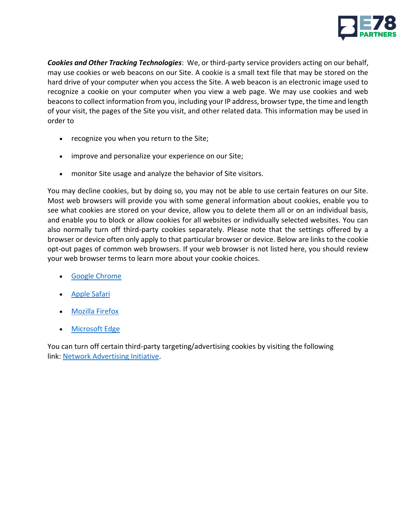

*Cookies and Other Tracking Technologies*:We, or third-party service providers acting on our behalf, may use cookies or web beacons on our Site. A cookie is a small text file that may be stored on the hard drive of your computer when you access the Site. A web beacon is an electronic image used to recognize a cookie on your computer when you view a web page. We may use cookies and web beacons to collect information from you, including your IP address, browser type, the time and length of your visit, the pages of the Site you visit, and other related data. This information may be used in order to

- recognize you when you return to the Site;
- improve and personalize your experience on our Site;
- monitor Site usage and analyze the behavior of Site visitors.

You may decline cookies, but by doing so, you may not be able to use certain features on our Site. Most web browsers will provide you with some general information about cookies, enable you to see what cookies are stored on your device, allow you to delete them all or on an individual basis, and enable you to block or allow cookies for all websites or individually selected websites. You can also normally turn off third-party cookies separately. Please note that the settings offered by a browser or device often only apply to that particular browser or device. Below are links to the cookie opt-out pages of common web browsers. If your web browser is not listed here, you should review your web browser terms to learn more about your cookie choices.

- [Google Chrome](https://support.google.com/chrome/answer/95647?hl=en&p=cpn_cookies)
- [Apple Safari](https://support.apple.com/en-gb/HT201265)
- **[Mozilla Firefox](https://support.mozilla.org/en-US/kb/enable-and-disable-cookies-website-preferences?redirectlocale=en-US&redirectslug=Enabling+and+disabling+cookies)**
- [Microsoft Edge](https://support.microsoft.com/en-us/microsoft-edge/delete-cookies-in-microsoft-edge-63947406-40ac-c3b8-57b9-2a946a29ae09)

You can turn off certain third-party targeting/advertising cookies by visiting the following link: [Network Advertising Initiative.](http://www.networkadvertising.org/choices/)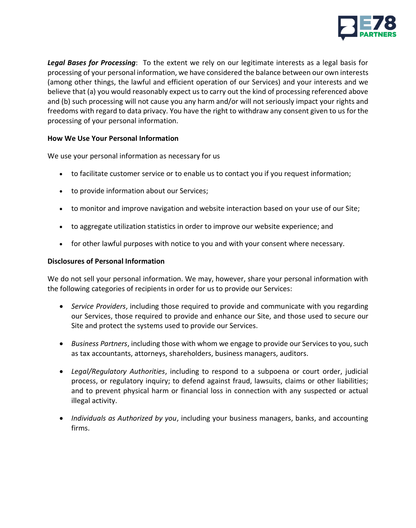

*Legal Bases for Processing*: To the extent we rely on our legitimate interests as a legal basis for processing of your personal information, we have considered the balance between our own interests (among other things, the lawful and efficient operation of our Services) and your interests and we believe that (a) you would reasonably expect us to carry out the kind of processing referenced above and (b) such processing will not cause you any harm and/or will not seriously impact your rights and freedoms with regard to data privacy. You have the right to withdraw any consent given to us for the processing of your personal information.

## **How We Use Your Personal Information**

We use your personal information as necessary for us

- to facilitate customer service or to enable us to contact you if you request information;
- to provide information about our Services;
- to monitor and improve navigation and website interaction based on your use of our Site;
- to aggregate utilization statistics in order to improve our website experience; and
- for other lawful purposes with notice to you and with your consent where necessary.

### **Disclosures of Personal Information**

We do not sell your personal information. We may, however, share your personal information with the following categories of recipients in order for us to provide our Services:

- *Service Providers*, including those required to provide and communicate with you regarding our Services, those required to provide and enhance our Site, and those used to secure our Site and protect the systems used to provide our Services.
- *Business Partners*, including those with whom we engage to provide our Services to you, such as tax accountants, attorneys, shareholders, business managers, auditors.
- *Legal/Regulatory Authorities*, including to respond to a subpoena or court order, judicial process, or regulatory inquiry; to defend against fraud, lawsuits, claims or other liabilities; and to prevent physical harm or financial loss in connection with any suspected or actual illegal activity.
- *Individuals as Authorized by you*, including your business managers, banks, and accounting firms.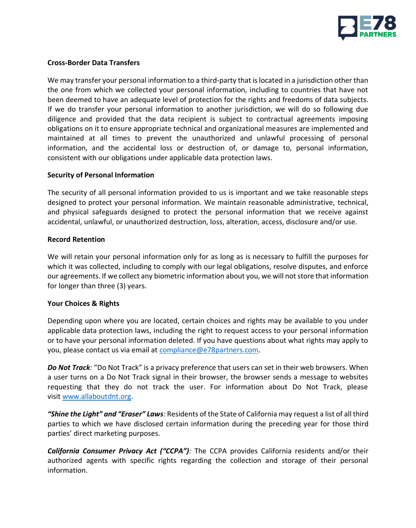

### **Cross-Border Data Transfers**

We may transfer your personal information to a third-party that is located in a jurisdiction other than the one from which we collected your personal information, including to countries that have not been deemed to have an adequate level of protection for the rights and freedoms of data subjects. If we do transfer your personal information to another jurisdiction, we will do so following due diligence and provided that the data recipient is subject to contractual agreements imposing obligations on it to ensure appropriate technical and organizational measures are implemented and maintained at all times to prevent the unauthorized and unlawful processing of personal information, and the accidental loss or destruction of, or damage to, personal information, consistent with our obligations under applicable data protection laws.

#### **Security of Personal Information**

The security of all personal information provided to us is important and we take reasonable steps designed to protect your personal information. We maintain reasonable administrative, technical, and physical safeguards designed to protect the personal information that we receive against accidental, unlawful, or unauthorized destruction, loss, alteration, access, disclosure and/or use.

### **Record Retention**

We will retain your personal information only for as long as is necessary to fulfill the purposes for which it was collected, including to comply with our legal obligations, resolve disputes, and enforce our agreements. If we collect any biometric information about you, we will not store that information for longer than three (3) years.

## **Your Choices & Rights**

Depending upon where you are located, certain choices and rights may be available to you under applicable data protection laws, including the right to request access to your personal information or to have your personal information deleted. If you have questions about what rights may apply to you, please contact us via email at [compliance@e78partners.com.](mailto:compliance@e78partners.com)

*Do Not Track:* "Do Not Track" is a privacy preference that users can set in their web browsers. When a user turns on a Do Not Track signal in their browser, the browser sends a message to websites requesting that they do not track the user. For information about Do Not Track, please visit [www.allaboutdnt.org.](http://www.allaboutdnt.org/)

*"Shine the Light" and "Eraser" Laws:* Residents of the State of California may request a list of all third parties to which we have disclosed certain information during the preceding year for those third parties' direct marketing purposes.

*California Consumer Privacy Act ("CCPA"):* The CCPA provides California residents and/or their authorized agents with specific rights regarding the collection and storage of their personal information.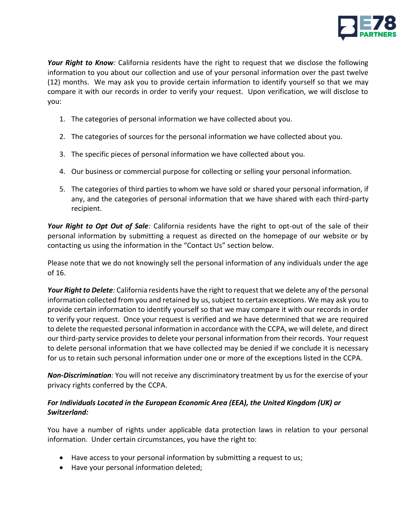

*Your Right to Know:* California residents have the right to request that we disclose the following information to you about our collection and use of your personal information over the past twelve (12) months. We may ask you to provide certain information to identify yourself so that we may compare it with our records in order to verify your request. Upon verification, we will disclose to you:

- 1. The categories of personal information we have collected about you.
- 2. The categories of sources for the personal information we have collected about you.
- 3. The specific pieces of personal information we have collected about you.
- 4. Our business or commercial purpose for collecting or selling your personal information.
- 5. The categories of third parties to whom we have sold or shared your personal information, if any, and the categories of personal information that we have shared with each third-party recipient.

*Your Right to Opt Out of Sale:* California residents have the right to opt-out of the sale of their personal information by submitting a request as directed on the homepage of our website or by contacting us using the information in the "Contact Us" section below.

Please note that we do not knowingly sell the personal information of any individuals under the age of 16.

*Your Right to Delete:* California residents have the right to request that we delete any of the personal information collected from you and retained by us, subject to certain exceptions. We may ask you to provide certain information to identify yourself so that we may compare it with our records in order to verify your request. Once your request is verified and we have determined that we are required to delete the requested personal information in accordance with the CCPA, we will delete, and direct our third-party service provides to delete your personal information from their records. Your request to delete personal information that we have collected may be denied if we conclude it is necessary for us to retain such personal information under one or more of the exceptions listed in the CCPA.

*Non-Discrimination:* You will not receive any discriminatory treatment by us for the exercise of your privacy rights conferred by the CCPA.

# *For Individuals Located in the European Economic Area (EEA), the United Kingdom (UK) or Switzerland:*

You have a number of rights under applicable data protection laws in relation to your personal information. Under certain circumstances, you have the right to:

- Have access to your personal information by submitting a request to us;
- Have your personal information deleted;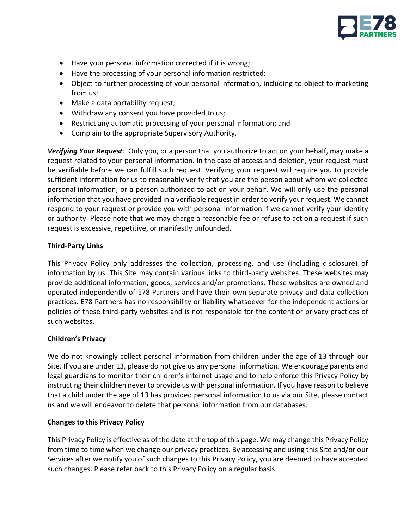

- Have your personal information corrected if it is wrong;
- Have the processing of your personal information restricted;
- Object to further processing of your personal information, including to object to marketing from us;
- Make a data portability request;
- Withdraw any consent you have provided to us;
- Restrict any automatic processing of your personal information; and
- Complain to the appropriate Supervisory Authority.

*Verifying Your Request:* Only you, or a person that you authorize to act on your behalf, may make a request related to your personal information. In the case of access and deletion, your request must be verifiable before we can fulfill such request. Verifying your request will require you to provide sufficient information for us to reasonably verify that you are the person about whom we collected personal information, or a person authorized to act on your behalf. We will only use the personal information that you have provided in a verifiable request in order to verify your request. We cannot respond to your request or provide you with personal information if we cannot verify your identity or authority. Please note that we may charge a reasonable fee or refuse to act on a request if such request is excessive, repetitive, or manifestly unfounded.

# **Third-Party Links**

This Privacy Policy only addresses the collection, processing, and use (including disclosure) of information by us. This Site may contain various links to third-party websites. These websites may provide additional information, goods, services and/or promotions. These websites are owned and operated independently of E78 Partners and have their own separate privacy and data collection practices. E78 Partners has no responsibility or liability whatsoever for the independent actions or policies of these third-party websites and is not responsible for the content or privacy practices of such websites.

## **Children's Privacy**

We do not knowingly collect personal information from children under the age of 13 through our Site. If you are under 13, please do not give us any personal information. We encourage parents and legal guardians to monitor their children's internet usage and to help enforce this Privacy Policy by instructing their children never to provide us with personal information. If you have reason to believe that a child under the age of 13 has provided personal information to us via our Site, please contact us and we will endeavor to delete that personal information from our databases.

# **Changes to this Privacy Policy**

This Privacy Policy is effective as of the date at the top of this page. We may change this Privacy Policy from time to time when we change our privacy practices. By accessing and using this Site and/or our Services after we notify you of such changes to this Privacy Policy, you are deemed to have accepted such changes. Please refer back to this Privacy Policy on a regular basis.